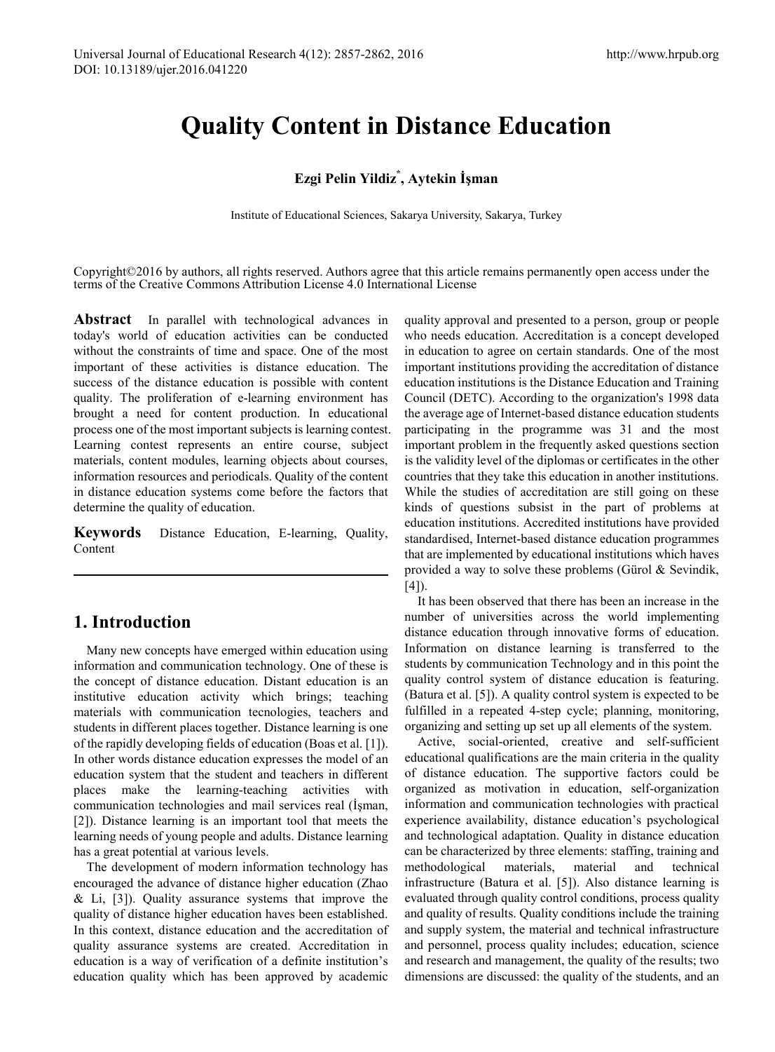# **Quality Content in Distance Education**

# **Ezgi Pelin Yildiz\* , Aytekin İşman**

Institute of Educational Sciences, Sakarya University, Sakarya, Turkey

Copyright©2016 by authors, all rights reserved. Authors agree that this article remains permanently open access under the terms of the Creative Commons Attribution License 4.0 International License

**Abstract** In parallel with technological advances in today's world of education activities can be conducted without the constraints of time and space. One of the most important of these activities is distance education. The success of the distance education is possible with content quality. The proliferation of e-learning environment has brought a need for content production. In educational process one of the most important subjects is learning contest. Learning contest represents an entire course, subject materials, content modules, learning objects about courses, information resources and periodicals. Quality of the content in distance education systems come before the factors that determine the quality of education.

**Keywords** Distance Education, E-learning, Quality, Content

# **1. Introduction**

Many new concepts have emerged within education using information and communication technology. One of these is the concept of distance education. Distant education is an institutive education activity which brings; teaching materials with communication tecnologies, teachers and students in different places together. Distance learning is one of the rapidly developing fields of education (Boas et al. [1]). In other words distance education expresses the model of an education system that the student and teachers in different places make the learning-teaching activities with communication technologies and mail services real (İşman, [2]). Distance learning is an important tool that meets the learning needs of young people and adults. Distance learning has a great potential at various levels.

The development of modern information technology has encouraged the advance of distance higher education (Zhao  $&$  Li, [3]). Quality assurance systems that improve the quality of distance higher education haves been established. In this context, distance education and the accreditation of quality assurance systems are created. Accreditation in education is a way of verification of a definite institution's education quality which has been approved by academic

quality approval and presented to a person, group or people who needs education. Accreditation is a concept developed in education to agree on certain standards. One of the most important institutions providing the accreditation of distance education institutions is the Distance Education and Training Council (DETC). According to the organization's 1998 data the average age of Internet-based distance education students participating in the programme was 31 and the most important problem in the frequently asked questions section is the validity level of the diplomas or certificates in the other countries that they take this education in another institutions. While the studies of accreditation are still going on these kinds of questions subsist in the part of problems at education institutions. Accredited institutions have provided standardised, Internet-based distance education programmes that are implemented by educational institutions which haves provided a way to solve these problems (Gürol & Sevindik,  $[4]$ ).

It has been observed that there has been an increase in the number of universities across the world implementing distance education through innovative forms of education. Information on distance learning is transferred to the students by communication Technology and in this point the quality control system of distance education is featuring. (Batura et al. [5]). A quality control system is expected to be fulfilled in a repeated 4-step cycle; planning, monitoring, organizing and setting up set up all elements of the system.

Active, social-oriented, creative and self-sufficient educational qualifications are the main criteria in the quality of distance education. The supportive factors could be organized as motivation in education, self-organization information and communication technologies with practical experience availability, distance education's psychological and technological adaptation. Quality in distance education can be characterized by three elements: staffing, training and methodological materials, material and technical infrastructure (Batura et al. [5]). Also distance learning is evaluated through quality control conditions, process quality and quality of results. Quality conditions include the training and supply system, the material and technical infrastructure and personnel, process quality includes; education, science and research and management, the quality of the results; two dimensions are discussed: the quality of the students, and an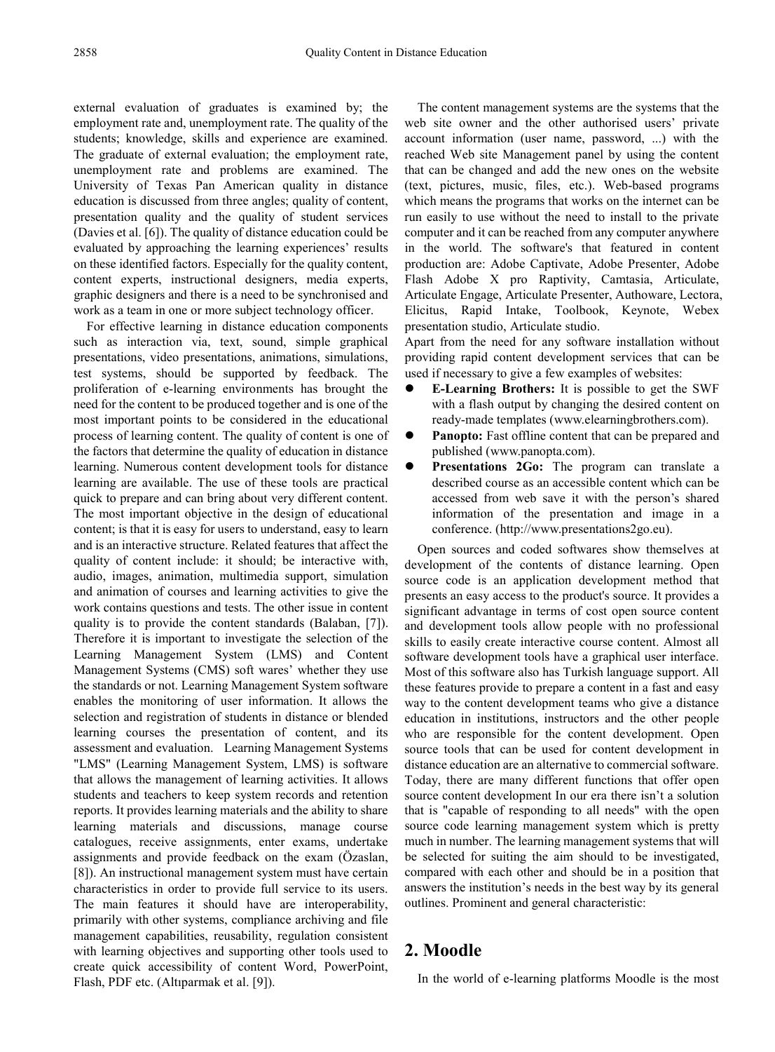external evaluation of graduates is examined by; the employment rate and, unemployment rate. The quality of the students; knowledge, skills and experience are examined. The graduate of external evaluation; the employment rate, unemployment rate and problems are examined. The University of Texas Pan American quality in distance education is discussed from three angles; quality of content, presentation quality and the quality of student services (Davies et al. [6]). The quality of distance education could be evaluated by approaching the learning experiences' results on these identified factors. Especially for the quality content, content experts, instructional designers, media experts, graphic designers and there is a need to be synchronised and work as a team in one or more subject technology officer.

For effective learning in distance education components such as interaction via, text, sound, simple graphical presentations, video presentations, animations, simulations, test systems, should be supported by feedback. The proliferation of e-learning environments has brought the need for the content to be produced together and is one of the most important points to be considered in the educational process of learning content. The quality of content is one of the factors that determine the quality of education in distance learning. Numerous content development tools for distance learning are available. The use of these tools are practical quick to prepare and can bring about very different content. The most important objective in the design of educational content; is that it is easy for users to understand, easy to learn and is an interactive structure. Related features that affect the quality of content include: it should; be interactive with, audio, images, animation, multimedia support, simulation and animation of courses and learning activities to give the work contains questions and tests. The other issue in content quality is to provide the content standards (Balaban, [7]). Therefore it is important to investigate the selection of the Learning Management System (LMS) and Content Management Systems (CMS) soft wares' whether they use the standards or not. Learning Management System software enables the monitoring of user information. It allows the selection and registration of students in distance or blended learning courses the presentation of content, and its assessment and evaluation. Learning Management Systems "LMS" (Learning Management System, LMS) is software that allows the management of learning activities. It allows students and teachers to keep system records and retention reports. It provides learning materials and the ability to share learning materials and discussions, manage course catalogues, receive assignments, enter exams, undertake assignments and provide feedback on the exam (Özaslan, [8]). An instructional management system must have certain characteristics in order to provide full service to its users. The main features it should have are interoperability, primarily with other systems, compliance archiving and file management capabilities, reusability, regulation consistent with learning objectives and supporting other tools used to create quick accessibility of content Word, PowerPoint, Flash, PDF etc. (Altıparmak et al. [9]).

The content management systems are the systems that the web site owner and the other authorised users' private account information (user name, password, ...) with the reached Web site Management panel by using the content that can be changed and add the new ones on the website (text, pictures, music, files, etc.). Web-based programs which means the programs that works on the internet can be run easily to use without the need to install to the private computer and it can be reached from any computer anywhere in the world. The software's that featured in content production are: Adobe Captivate, Adobe Presenter, Adobe Flash Adobe X pro Raptivity, Camtasia, Articulate, Articulate Engage, Articulate Presenter, Authoware, Lectora, Elicitus, Rapid Intake, Toolbook, Keynote, Webex presentation studio, Articulate studio.

Apart from the need for any software installation without providing rapid content development services that can be used if necessary to give a few examples of websites:

- **E-Learning Brothers:** It is possible to get the SWF with a flash output by changing the desired content on ready-made templates (www.elearningbrothers.com).
- **Panopto:** Fast offline content that can be prepared and published (www.panopta.com).
- **Presentations 2Go:** The program can translate a described course as an accessible content which can be accessed from web save it with the person's shared information of the presentation and image in a conference. (http://www.presentations2go.eu).

Open sources and coded softwares show themselves at development of the contents of distance learning. Open source code is an application development method that presents an easy access to the product's source. It provides a significant advantage in terms of cost open source content and development tools allow people with no professional skills to easily create interactive course content. Almost all software development tools have a graphical user interface. Most of this software also has Turkish language support. All these features provide to prepare a content in a fast and easy way to the content development teams who give a distance education in institutions, instructors and the other people who are responsible for the content development. Open source tools that can be used for content development in distance education are an alternative to commercial software. Today, there are many different functions that offer open source content development In our era there isn't a solution that is "capable of responding to all needs" with the open source code learning management system which is pretty much in number. The learning management systems that will be selected for suiting the aim should to be investigated, compared with each other and should be in a position that answers the institution's needs in the best way by its general outlines. Prominent and general characteristic:

# **2. Moodle**

In the world of e-learning platforms Moodle is the most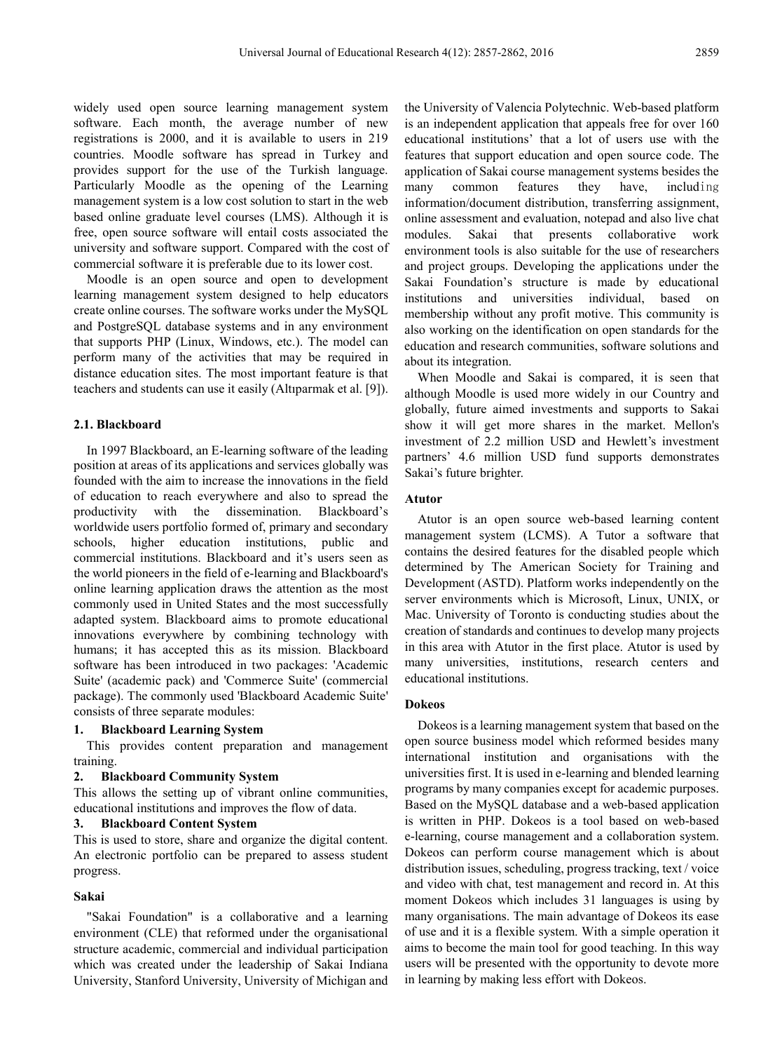widely used open source learning management system software. Each month, the average number of new registrations is 2000, and it is available to users in 219 countries. Moodle software has spread in Turkey and provides support for the use of the Turkish language. Particularly Moodle as the opening of the Learning management system is a low cost solution to start in the web based online graduate level courses (LMS). Although it is free, open source software will entail costs associated the university and software support. Compared with the cost of commercial software it is preferable due to its lower cost.

Moodle is an open source and open to development learning management system designed to help educators create online courses. The software works under the MySQL and PostgreSQL database systems and in any environment that supports PHP (Linux, Windows, etc.). The model can perform many of the activities that may be required in distance education sites. The most important feature is that teachers and students can use it easily (Altıparmak et al. [9]).

#### **2.1. Blackboard**

In 1997 Blackboard, an E-learning software of the leading position at areas of its applications and services globally was founded with the aim to increase the innovations in the field of education to reach everywhere and also to spread the productivity with the dissemination. Blackboard's worldwide users portfolio formed of, primary and secondary schools, higher education institutions, public and commercial institutions. Blackboard and it's users seen as the world pioneers in the field of e-learning and Blackboard's online learning application draws the attention as the most commonly used in United States and the most successfully adapted system. Blackboard aims to promote educational innovations everywhere by combining technology with humans; it has accepted this as its mission. Blackboard software has been introduced in two packages: 'Academic Suite' (academic pack) and 'Commerce Suite' (commercial package). The commonly used 'Blackboard Academic Suite' consists of three separate modules:

#### **1. Blackboard Learning System**

This provides content preparation and management training.

#### **2. Blackboard Community System**

This allows the setting up of vibrant online communities, educational institutions and improves the flow of data.

#### **3. Blackboard Content System**

This is used to store, share and organize the digital content. An electronic portfolio can be prepared to assess student progress.

#### **Sakai**

"Sakai Foundation" is a collaborative and a learning environment (CLE) that reformed under the organisational structure academic, commercial and individual participation which was created under the leadership of Sakai Indiana University, Stanford University, University of Michigan and

the University of Valencia Polytechnic. Web-based platform is an independent application that appeals free for over 160 educational institutions' that a lot of users use with the features that support education and open source code. The application of Sakai course management systems besides the many common features they have, including information/document distribution, transferring assignment, online assessment and evaluation, notepad and also live chat modules. Sakai that presents collaborative work environment tools is also suitable for the use of researchers and project groups. Developing the applications under the Sakai Foundation's structure is made by educational institutions and universities individual, based on membership without any profit motive. This community is also working on the identification on open standards for the education and research communities, software solutions and about its integration.

When Moodle and Sakai is compared, it is seen that although Moodle is used more widely in our Country and globally, future aimed investments and supports to Sakai show it will get more shares in the market. Mellon's investment of 2.2 million USD and Hewlett's investment partners' 4.6 million USD fund supports demonstrates Sakai's future brighter.

#### **Atutor**

Atutor is an open source web-based learning content management system (LCMS). A Tutor a software that contains the desired features for the disabled people which determined by The American Society for Training and Development (ASTD). Platform works independently on the server environments which is Microsoft, Linux, UNIX, or Mac. University of Toronto is conducting studies about the creation of standards and continues to develop many projects in this area with Atutor in the first place. Atutor is used by many universities, institutions, research centers and educational institutions.

#### **Dokeos**

Dokeos is a learning management system that based on the open source business model which reformed besides many international institution and organisations with the universities first. It is used in e-learning and blended learning programs by many companies except for academic purposes. Based on the MySQL database and a web-based application is written in PHP. Dokeos is a tool based on web-based e-learning, course management and a collaboration system. Dokeos can perform course management which is about distribution issues, scheduling, progress tracking, text / voice and video with chat, test management and record in. At this moment Dokeos which includes 31 languages is using by many organisations. The main advantage of Dokeos its ease of use and it is a flexible system. With a simple operation it aims to become the main tool for good teaching. In this way users will be presented with the opportunity to devote more in learning by making less effort with Dokeos.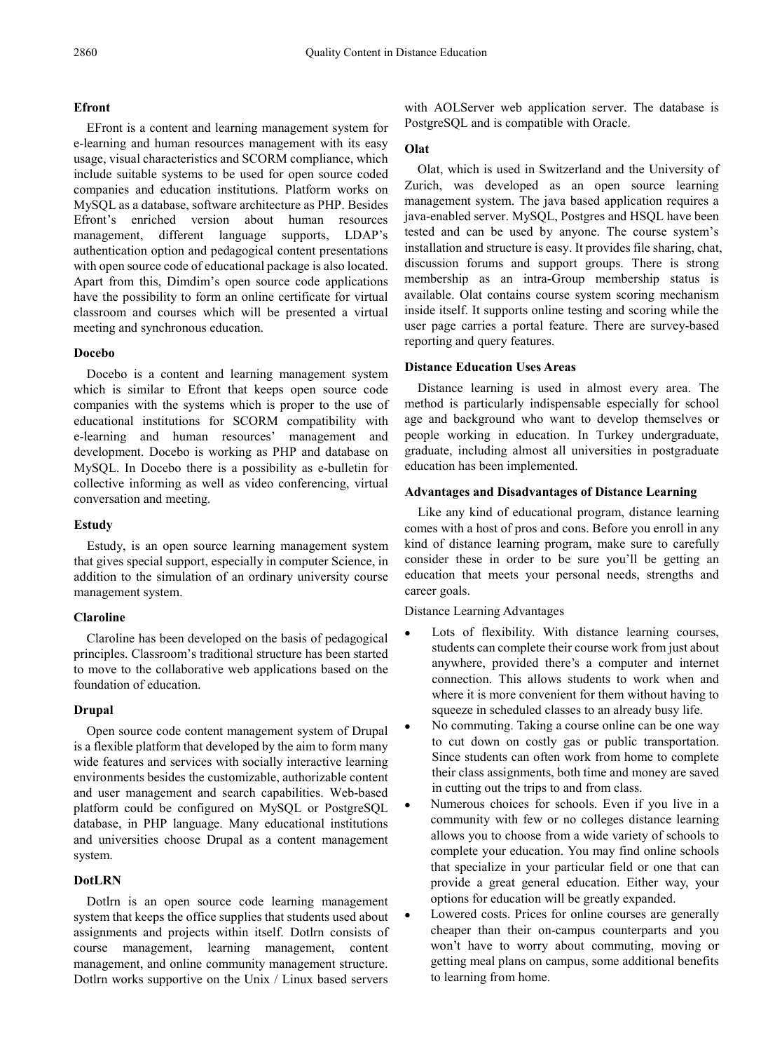## **Efront**

EFront is a content and learning management system for e-learning and human resources management with its easy usage, visual characteristics and SCORM compliance, which include suitable systems to be used for open source coded companies and education institutions. Platform works on MySQL as a database, software architecture as PHP. Besides Efront's enriched version about human resources management, different language supports, LDAP's authentication option and pedagogical content presentations with open source code of educational package is also located. Apart from this, Dimdim's open source code applications have the possibility to form an online certificate for virtual classroom and courses which will be presented a virtual meeting and synchronous education.

### **Docebo**

Docebo is a content and learning management system which is similar to Efront that keeps open source code companies with the systems which is proper to the use of educational institutions for SCORM compatibility with e-learning and human resources' management and development. Docebo is working as PHP and database on MySQL. In Docebo there is a possibility as e-bulletin for collective informing as well as video conferencing, virtual conversation and meeting.

#### **Estudy**

Estudy, is an open source learning management system that gives special support, especially in computer Science, in addition to the simulation of an ordinary university course management system.

## **Claroline**

Claroline has been developed on the basis of pedagogical principles. Classroom's traditional structure has been started to move to the collaborative web applications based on the foundation of education.

## **Drupal**

Open source code content management system of Drupal is a flexible platform that developed by the aim to form many wide features and services with socially interactive learning environments besides the customizable, authorizable content and user management and search capabilities. Web-based platform could be configured on MySQL or PostgreSQL database, in PHP language. Many educational institutions and universities choose Drupal as a content management system.

## **DotLRN**

Dotlrn is an open source code learning management system that keeps the office supplies that students used about assignments and projects within itself. Dotlrn consists of course management, learning management, content management, and online community management structure. Dotlrn works supportive on the Unix / Linux based servers

with AOLServer web application server. The database is PostgreSQL and is compatible with Oracle.

### **Olat**

Olat, which is used in Switzerland and the University of Zurich, was developed as an open source learning management system. The java based application requires a java-enabled server. MySQL, Postgres and HSQL have been tested and can be used by anyone. The course system's installation and structure is easy. It provides file sharing, chat, discussion forums and support groups. There is strong membership as an intra-Group membership status is available. Olat contains course system scoring mechanism inside itself. It supports online testing and scoring while the user page carries a portal feature. There are survey-based reporting and query features.

### **Distance Education Uses Areas**

Distance learning is used in almost every area. The method is particularly indispensable especially for school age and background who want to develop themselves or people working in education. In Turkey undergraduate, graduate, including almost all universities in postgraduate education has been implemented.

### **Advantages and Disadvantages of Distance Learning**

Like any kind of educational program, distance learning comes with a host of pros and cons. Before you enroll in any kind of distance learning program, make sure to carefully consider these in order to be sure you'll be getting an education that meets your personal needs, strengths and career goals.

Distance Learning Advantages

- Lots of flexibility. With distance learning courses, students can complete their course work from just about anywhere, provided there's a computer and internet connection. This allows students to work when and where it is more convenient for them without having to squeeze in scheduled classes to an already busy life.
- No commuting. Taking a course online can be one way to cut down on costly gas or public transportation. Since students can often work from home to complete their class assignments, both time and money are saved in cutting out the trips to and from class.
- Numerous choices for schools. Even if you live in a community with few or no colleges distance learning allows you to choose from a wide variety of schools to complete your education. You may find online schools that specialize in your particular field or one that can provide a great general education. Either way, your options for education will be greatly expanded.
- Lowered costs. Prices for online courses are generally cheaper than their on-campus counterparts and you won't have to worry about commuting, moving or getting meal plans on campus, some additional benefits to learning from home.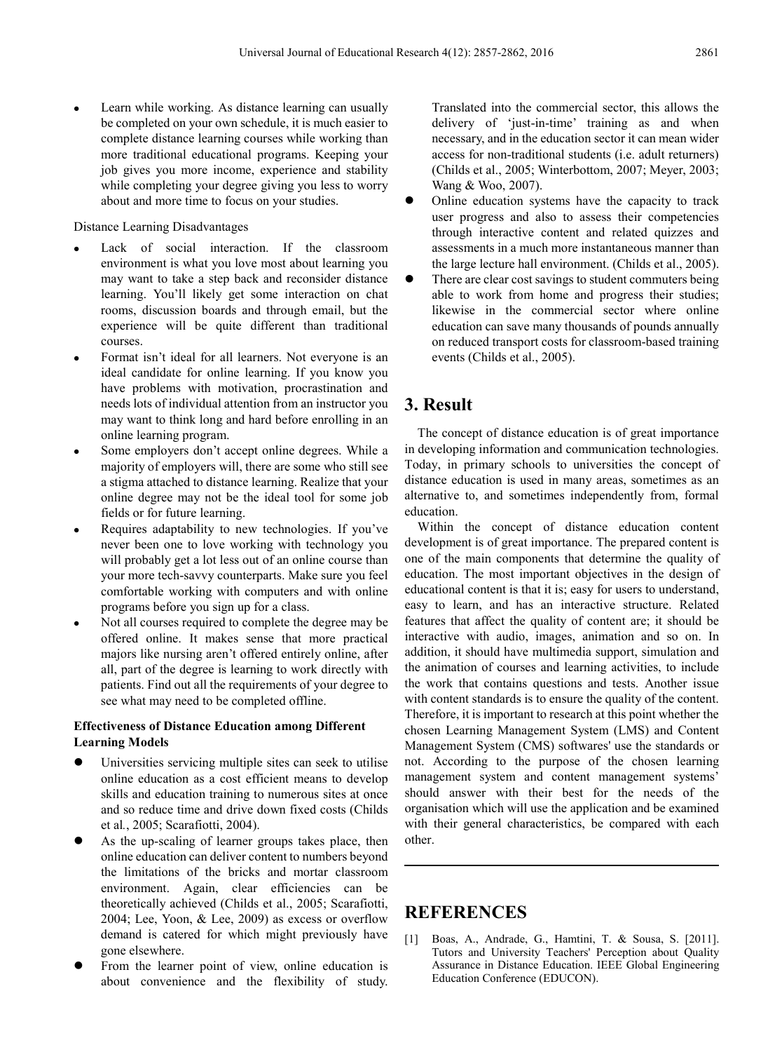Learn while working. As distance learning can usually be completed on your own schedule, it is much easier to complete distance learning courses while working than more traditional educational programs. Keeping your job gives you more income, experience and stability while completing your degree giving you less to worry about and more time to focus on your studies.

#### Distance Learning Disadvantages

- Lack of social interaction. If the classroom environment is what you love most about learning you may want to take a step back and reconsider distance learning. You'll likely get some interaction on chat rooms, discussion boards and through email, but the experience will be quite different than traditional courses.
- Format isn't ideal for all learners. Not everyone is an ideal candidate for online learning. If you know you have problems with motivation, procrastination and needs lots of individual attention from an instructor you may want to think long and hard before enrolling in an online learning program.
- Some employers don't accept online degrees. While a majority of employers will, there are some who still see a stigma attached to distance learning. Realize that your online degree may not be the ideal tool for some job fields or for future learning.
- Requires adaptability to new technologies. If you've never been one to love working with technology you will probably get a lot less out of an online course than your more tech-savvy counterparts. Make sure you feel comfortable working with computers and with online programs before you sign up for a class.
- Not all courses required to complete the degree may be offered online. It makes sense that more practical majors like nursing aren't offered entirely online, after all, part of the degree is learning to work directly with patients. Find out all the requirements of your degree to see what may need to be completed offline.

### **Effectiveness of Distance Education among Different Learning Models**

- Universities servicing multiple sites can seek to utilise online education as a cost efficient means to develop skills and education training to numerous sites at once and so reduce time and drive down fixed costs (Childs et al*.*, 2005; Scarafiotti, 2004).
- As the up-scaling of learner groups takes place, then online education can deliver content to numbers beyond the limitations of the bricks and mortar classroom environment. Again, clear efficiencies can be theoretically achieved (Childs et al., 2005; Scarafiotti, 2004; Lee, Yoon, & Lee, 2009) as excess or overflow demand is catered for which might previously have gone elsewhere.
- From the learner point of view, online education is about convenience and the flexibility of study.

Translated into the commercial sector, this allows the delivery of 'just-in-time' training as and when necessary, and in the education sector it can mean wider access for non-traditional students (i.e. adult returners) (Childs et al., 2005; Winterbottom, 2007; Meyer, 2003; Wang & Woo, 2007).

- Online education systems have the capacity to track user progress and also to assess their competencies through interactive content and related quizzes and assessments in a much more instantaneous manner than the large lecture hall environment. (Childs et al., 2005).
- There are clear cost savings to student commuters being able to work from home and progress their studies; likewise in the commercial sector where online education can save many thousands of pounds annually on reduced transport costs for classroom-based training events (Childs et al., 2005).

# **3. Result**

The concept of distance education is of great importance in developing information and communication technologies. Today, in primary schools to universities the concept of distance education is used in many areas, sometimes as an alternative to, and sometimes independently from, formal education.

Within the concept of distance education content development is of great importance. The prepared content is one of the main components that determine the quality of education. The most important objectives in the design of educational content is that it is; easy for users to understand, easy to learn, and has an interactive structure. Related features that affect the quality of content are; it should be interactive with audio, images, animation and so on. In addition, it should have multimedia support, simulation and the animation of courses and learning activities, to include the work that contains questions and tests. Another issue with content standards is to ensure the quality of the content. Therefore, it is important to research at this point whether the chosen Learning Management System (LMS) and Content Management System (CMS) softwares' use the standards or not. According to the purpose of the chosen learning management system and content management systems' should answer with their best for the needs of the organisation which will use the application and be examined with their general characteristics, be compared with each other.

# **REFERENCES**

[1] Boas, A., Andrade, G., Hamtini, T. & Sousa, S. [2011]. Tutors and University Teachers' Perception about Quality Assurance in Distance Education. IEEE Global Engineering Education Conference (EDUCON).